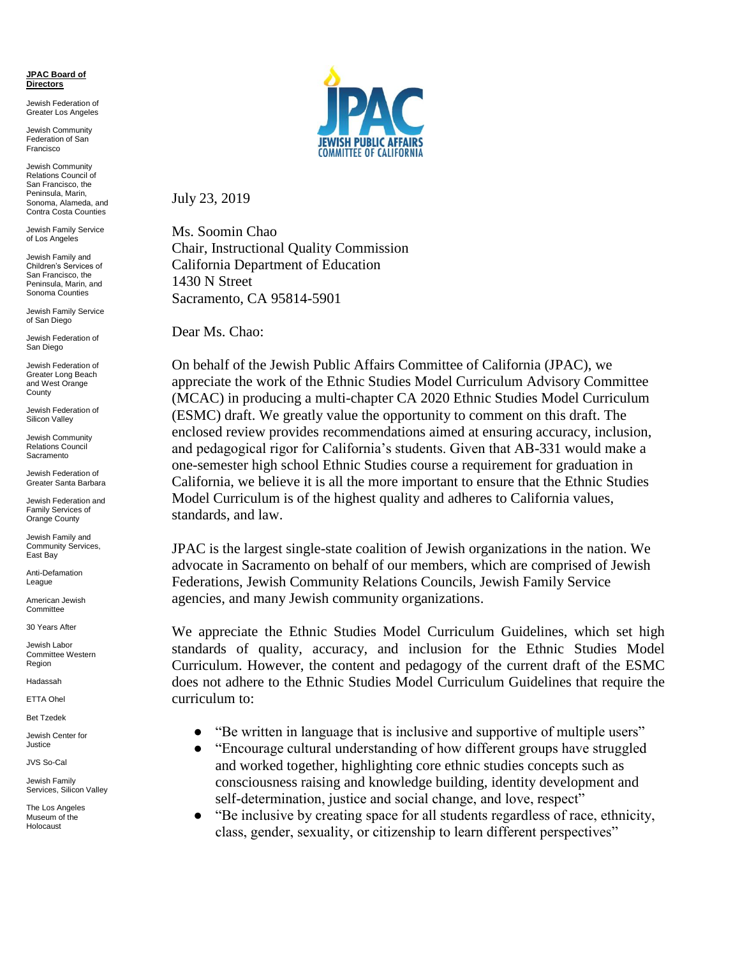## **JPAC Board of Directors**

Jewish Federation of Greater Los Angeles

Jewish Community Federation of San Francisco

Jewish Community Relations Council of San Francisco, the Peninsula, Marin, Sonoma, Alameda, and Contra Costa Counties

Jewish Family Service of Los Angeles

Jewish Family and Children's Services of San Francisco, the Peninsula, Marin, and Sonoma Counties

Jewish Family Service of San Diego

Jewish Federation of San Diego

Jewish Federation of Greater Long Beach and West Orange **County** 

Jewish Federation of Silicon Valley

Jewish Community Relations Council Sacramento

Jewish Federation of Greater Santa Barbara

Jewish Federation and Family Services of Orange County

Jewish Family and Community Services, East Bay

Anti-Defamation League

American Jewish **Committee** 

30 Years After

Jewish Labor Committee Western Region

Hadassah

ETTA Ohel

Bet Tzedek

Jewish Center for Justice

JVS So-Cal

Jewish Family Services, Silicon Valley

The Los Angeles Museum of the Holocaust



July 23, 2019

Ms. Soomin Chao Chair, Instructional Quality Commission California Department of Education 1430 N Street Sacramento, CA 95814-5901

Dear Ms. Chao:

On behalf of the Jewish Public Affairs Committee of California (JPAC), we appreciate the work of the Ethnic Studies Model Curriculum Advisory Committee (MCAC) in producing a multi-chapter CA 2020 Ethnic Studies Model Curriculum (ESMC) draft. We greatly value the opportunity to comment on this draft. The enclosed review provides recommendations aimed at ensuring accuracy, inclusion, and pedagogical rigor for California's students. Given that AB-331 would make a one-semester high school Ethnic Studies course a requirement for graduation in California, we believe it is all the more important to ensure that the Ethnic Studies Model Curriculum is of the highest quality and adheres to California values, standards, and law.

JPAC is the largest single-state coalition of Jewish organizations in the nation. We advocate in Sacramento on behalf of our members, which are comprised of Jewish Federations, Jewish Community Relations Councils, Jewish Family Service agencies, and many Jewish community organizations.

We appreciate the Ethnic Studies Model Curriculum Guidelines, which set high standards of quality, accuracy, and inclusion for the Ethnic Studies Model Curriculum. However, the content and pedagogy of the current draft of the ESMC does not adhere to the Ethnic Studies Model Curriculum Guidelines that require the curriculum to:

- "Be written in language that is inclusive and supportive of multiple users"
- "Encourage cultural understanding of how different groups have struggled and worked together, highlighting core ethnic studies concepts such as consciousness raising and knowledge building, identity development and self-determination, justice and social change, and love, respect"
- "Be inclusive by creating space for all students regardless of race, ethnicity, class, gender, sexuality, or citizenship to learn different perspectives"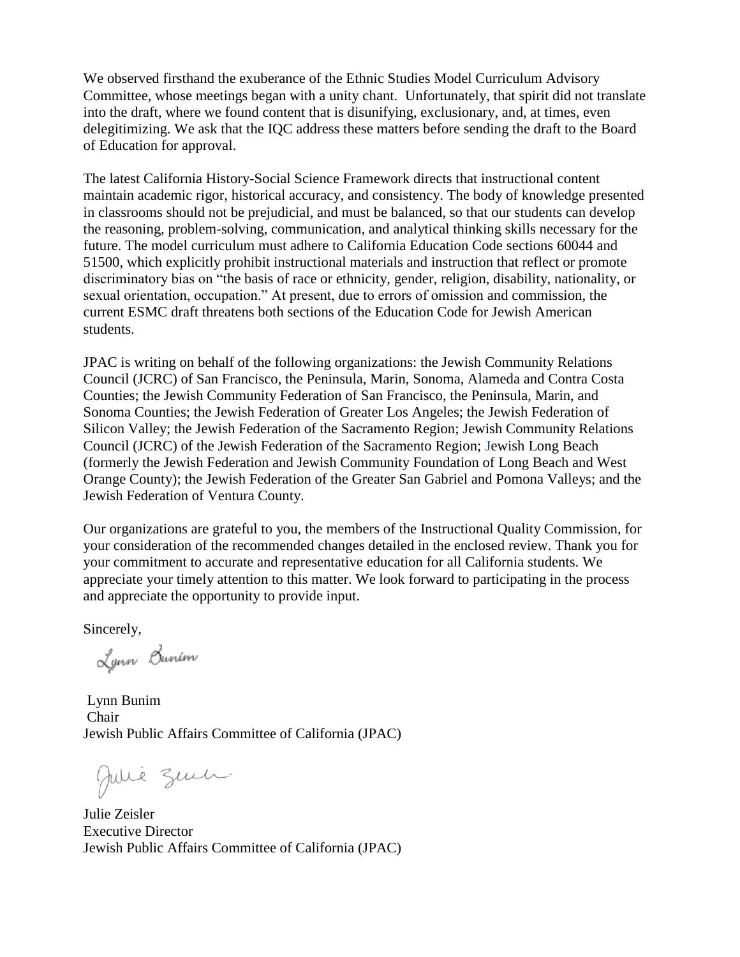We observed firsthand the exuberance of the Ethnic Studies Model Curriculum Advisory Committee, whose meetings began with a unity chant. Unfortunately, that spirit did not translate into the draft, where we found content that is disunifying, exclusionary, and, at times, even delegitimizing. We ask that the IQC address these matters before sending the draft to the Board of Education for approval.

The latest California History-Social Science Framework directs that instructional content maintain academic rigor, historical accuracy, and consistency. The body of knowledge presented in classrooms should not be prejudicial, and must be balanced, so that our students can develop the reasoning, problem-solving, communication, and analytical thinking skills necessary for the future. The model curriculum must adhere to California Education Code sections 60044 and 51500, which explicitly prohibit instructional materials and instruction that reflect or promote discriminatory bias on "the basis of race or ethnicity, gender, religion, disability, nationality, or sexual orientation, occupation." At present, due to errors of omission and commission, the current ESMC draft threatens both sections of the Education Code for Jewish American students.

JPAC is writing on behalf of the following organizations: the Jewish Community Relations Council (JCRC) of San Francisco, the Peninsula, Marin, Sonoma, Alameda and Contra Costa Counties; the Jewish Community Federation of San Francisco, the Peninsula, Marin, and Sonoma Counties; the Jewish Federation of Greater Los Angeles; the Jewish Federation of Silicon Valley; the Jewish Federation of the Sacramento Region; Jewish Community Relations Council (JCRC) of the Jewish Federation of the Sacramento Region; Jewish Long Beach (formerly the Jewish Federation and Jewish Community Foundation of Long Beach and West Orange County); the Jewish Federation of the Greater San Gabriel and Pomona Valleys; and the Jewish Federation of Ventura County.

Our organizations are grateful to you, the members of the Instructional Quality Commission, for your consideration of the recommended changes detailed in the enclosed review. Thank you for your commitment to accurate and representative education for all California students. We appreciate your timely attention to this matter. We look forward to participating in the process and appreciate the opportunity to provide input.

Sincerely,

Lynn Bunim

Lynn Bunim Chair Jewish Public Affairs Committee of California (JPAC)

Julie Zuch.

Julie Zeisler Executive Director Jewish Public Affairs Committee of California (JPAC)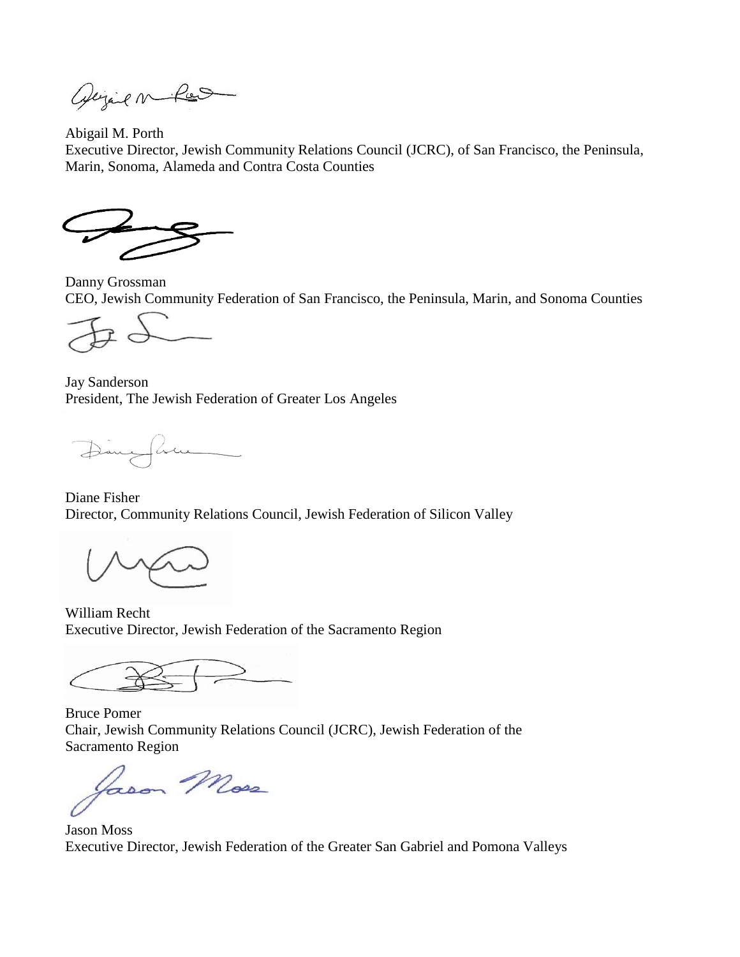Opejail ne Pos

Abigail M. Porth Executive Director, Jewish Community Relations Council (JCRC), of San Francisco, the Peninsula, Marin, Sonoma, Alameda and Contra Costa Counties

Danny Grossman CEO, Jewish Community Federation of San Francisco, the Peninsula, Marin, and Sonoma Counties

Jay Sanderson President, The Jewish Federation of Greater Los Angeles

Diny fluen

Diane Fisher Director, Community Relations Council, Jewish Federation of Silicon Valley

William Recht Executive Director, Jewish Federation of the Sacramento Region

Bruce Pomer Chair, Jewish Community Relations Council (JCRC), Jewish Federation of the Sacramento Region

Lason Moss

Jason Moss Executive Director, Jewish Federation of the Greater San Gabriel and Pomona Valleys